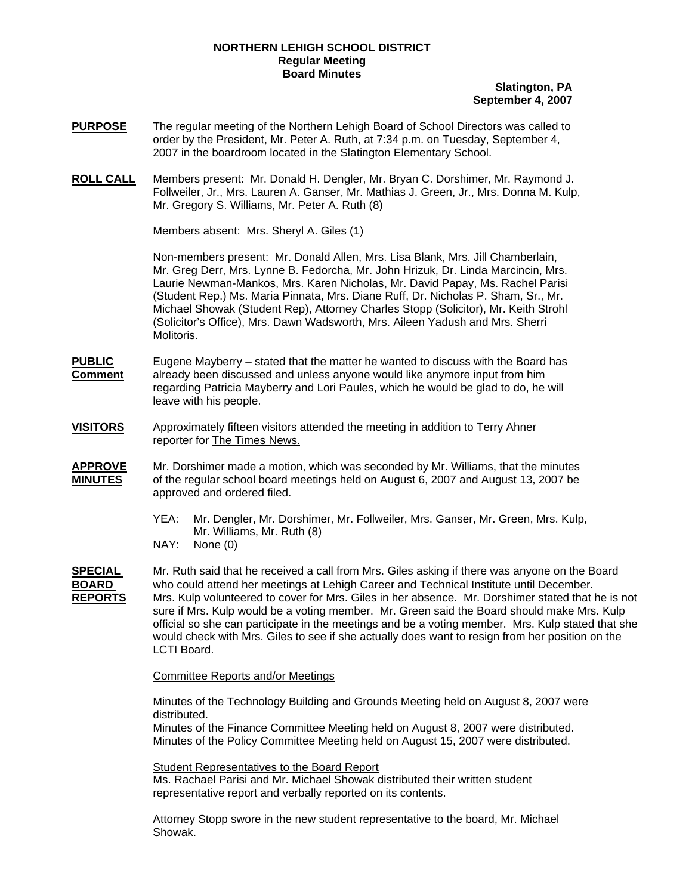## **NORTHERN LEHIGH SCHOOL DISTRICT Regular Meeting Board Minutes**

# **Slatington, PA September 4, 2007**

- **PURPOSE** The regular meeting of the Northern Lehigh Board of School Directors was called to order by the President, Mr. Peter A. Ruth, at 7:34 p.m. on Tuesday, September 4, 2007 in the boardroom located in the Slatington Elementary School.
- **ROLL CALL** Members present: Mr. Donald H. Dengler, Mr. Bryan C. Dorshimer, Mr. Raymond J. Follweiler, Jr., Mrs. Lauren A. Ganser, Mr. Mathias J. Green, Jr., Mrs. Donna M. Kulp, Mr. Gregory S. Williams, Mr. Peter A. Ruth (8)

Members absent: Mrs. Sheryl A. Giles (1)

Non-members present: Mr. Donald Allen, Mrs. Lisa Blank, Mrs. Jill Chamberlain, Mr. Greg Derr, Mrs. Lynne B. Fedorcha, Mr. John Hrizuk, Dr. Linda Marcincin, Mrs. Laurie Newman-Mankos, Mrs. Karen Nicholas, Mr. David Papay, Ms. Rachel Parisi (Student Rep.) Ms. Maria Pinnata, Mrs. Diane Ruff, Dr. Nicholas P. Sham, Sr., Mr. Michael Showak (Student Rep), Attorney Charles Stopp (Solicitor), Mr. Keith Strohl (Solicitor's Office), Mrs. Dawn Wadsworth, Mrs. Aileen Yadush and Mrs. Sherri Molitoris.

**PUBLIC** Eugene Mayberry – stated that the matter he wanted to discuss with the Board has **Comment** already been discussed and unless anyone would like anymore input from him regarding Patricia Mayberry and Lori Paules, which he would be glad to do, he will leave with his people.

**VISITORS** Approximately fifteen visitors attended the meeting in addition to Terry Ahner reporter for The Times News.

- **APPROVE** Mr. Dorshimer made a motion, which was seconded by Mr. Williams, that the minutes **MINUTES** of the regular school board meetings held on August 6, 2007 and August 13, 2007 be approved and ordered filed.
	- YEA: Mr. Dengler, Mr. Dorshimer, Mr. Follweiler, Mrs. Ganser, Mr. Green, Mrs. Kulp, Mr. Williams, Mr. Ruth (8)
	- NAY: None (0)

**SPECIAL** Mr. Ruth said that he received a call from Mrs. Giles asking if there was anyone on the Board **BOARD** who could attend her meetings at Lehigh Career and Technical Institute until December. **REPORTS** Mrs. Kulp volunteered to cover for Mrs. Giles in her absence. Mr. Dorshimer stated that he is not sure if Mrs. Kulp would be a voting member. Mr. Green said the Board should make Mrs. Kulp official so she can participate in the meetings and be a voting member. Mrs. Kulp stated that she would check with Mrs. Giles to see if she actually does want to resign from her position on the LCTI Board.

Committee Reports and/or Meetings

Minutes of the Technology Building and Grounds Meeting held on August 8, 2007 were distributed.

Minutes of the Finance Committee Meeting held on August 8, 2007 were distributed. Minutes of the Policy Committee Meeting held on August 15, 2007 were distributed.

Student Representatives to the Board Report Ms. Rachael Parisi and Mr. Michael Showak distributed their written student representative report and verbally reported on its contents.

Attorney Stopp swore in the new student representative to the board, Mr. Michael Showak.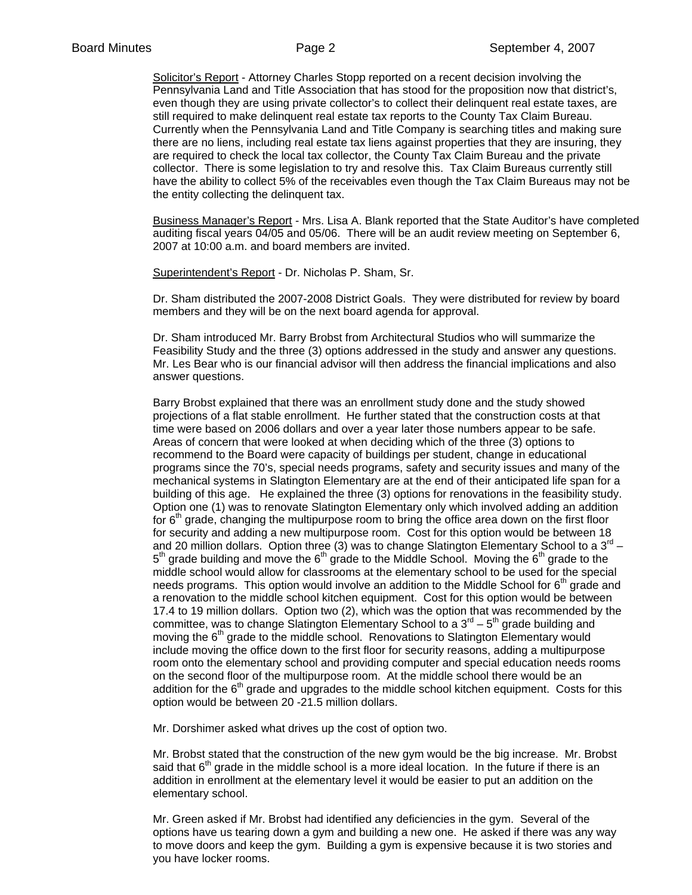Solicitor's Report - Attorney Charles Stopp reported on a recent decision involving the Pennsylvania Land and Title Association that has stood for the proposition now that district's, even though they are using private collector's to collect their delinquent real estate taxes, are still required to make delinquent real estate tax reports to the County Tax Claim Bureau. Currently when the Pennsylvania Land and Title Company is searching titles and making sure there are no liens, including real estate tax liens against properties that they are insuring, they are required to check the local tax collector, the County Tax Claim Bureau and the private collector. There is some legislation to try and resolve this. Tax Claim Bureaus currently still have the ability to collect 5% of the receivables even though the Tax Claim Bureaus may not be the entity collecting the delinquent tax.

Business Manager's Report - Mrs. Lisa A. Blank reported that the State Auditor's have completed auditing fiscal years 04/05 and 05/06. There will be an audit review meeting on September 6, 2007 at 10:00 a.m. and board members are invited.

Superintendent's Report - Dr. Nicholas P. Sham, Sr.

Dr. Sham distributed the 2007-2008 District Goals. They were distributed for review by board members and they will be on the next board agenda for approval.

Dr. Sham introduced Mr. Barry Brobst from Architectural Studios who will summarize the Feasibility Study and the three (3) options addressed in the study and answer any questions. Mr. Les Bear who is our financial advisor will then address the financial implications and also answer questions.

Barry Brobst explained that there was an enrollment study done and the study showed projections of a flat stable enrollment. He further stated that the construction costs at that time were based on 2006 dollars and over a year later those numbers appear to be safe. Areas of concern that were looked at when deciding which of the three (3) options to recommend to the Board were capacity of buildings per student, change in educational programs since the 70's, special needs programs, safety and security issues and many of the mechanical systems in Slatington Elementary are at the end of their anticipated life span for a building of this age. He explained the three (3) options for renovations in the feasibility study. Option one (1) was to renovate Slatington Elementary only which involved adding an addition for  $6<sup>th</sup>$  grade, changing the multipurpose room to bring the office area down on the first floor for security and adding a new multipurpose room. Cost for this option would be between 18 and 20 million dollars. Option three (3) was to change Slatington Elementary School to a  $3^{rd}$  –  $5<sup>th</sup>$  grade building and move the  $6<sup>th</sup>$  grade to the Middle School. Moving the  $6<sup>th</sup>$  grade to the middle school would allow for classrooms at the elementary school to be used for the special needs programs. This option would involve an addition to the Middle School for  $6<sup>th</sup>$  grade and a renovation to the middle school kitchen equipment. Cost for this option would be between 17.4 to 19 million dollars. Option two (2), which was the option that was recommended by the committee, was to change Slatington Elementary School to a  $3<sup>rd</sup> - 5<sup>th</sup>$  grade building and moving the  $6<sup>th</sup>$  grade to the middle school. Renovations to Slatington Elementary would include moving the office down to the first floor for security reasons, adding a multipurpose room onto the elementary school and providing computer and special education needs rooms on the second floor of the multipurpose room. At the middle school there would be an addition for the  $6<sup>th</sup>$  grade and upgrades to the middle school kitchen equipment. Costs for this option would be between 20 -21.5 million dollars.

Mr. Dorshimer asked what drives up the cost of option two.

Mr. Brobst stated that the construction of the new gym would be the big increase. Mr. Brobst said that  $6<sup>th</sup>$  grade in the middle school is a more ideal location. In the future if there is an addition in enrollment at the elementary level it would be easier to put an addition on the elementary school.

Mr. Green asked if Mr. Brobst had identified any deficiencies in the gym. Several of the options have us tearing down a gym and building a new one. He asked if there was any way to move doors and keep the gym. Building a gym is expensive because it is two stories and you have locker rooms.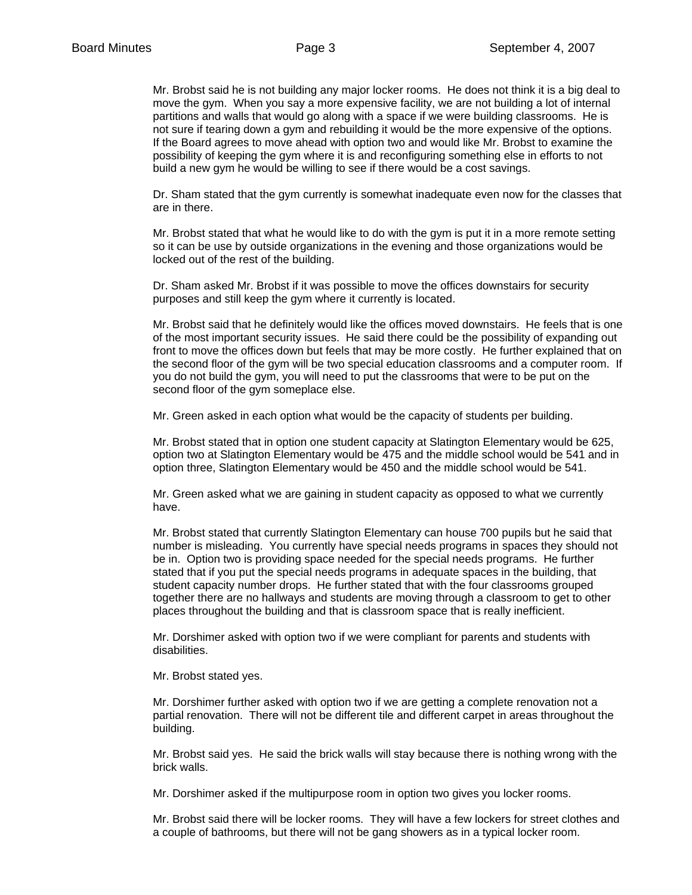Mr. Brobst said he is not building any major locker rooms. He does not think it is a big deal to move the gym. When you say a more expensive facility, we are not building a lot of internal partitions and walls that would go along with a space if we were building classrooms. He is not sure if tearing down a gym and rebuilding it would be the more expensive of the options. If the Board agrees to move ahead with option two and would like Mr. Brobst to examine the possibility of keeping the gym where it is and reconfiguring something else in efforts to not build a new gym he would be willing to see if there would be a cost savings.

Dr. Sham stated that the gym currently is somewhat inadequate even now for the classes that are in there.

Mr. Brobst stated that what he would like to do with the gym is put it in a more remote setting so it can be use by outside organizations in the evening and those organizations would be locked out of the rest of the building.

Dr. Sham asked Mr. Brobst if it was possible to move the offices downstairs for security purposes and still keep the gym where it currently is located.

Mr. Brobst said that he definitely would like the offices moved downstairs. He feels that is one of the most important security issues. He said there could be the possibility of expanding out front to move the offices down but feels that may be more costly. He further explained that on the second floor of the gym will be two special education classrooms and a computer room. If you do not build the gym, you will need to put the classrooms that were to be put on the second floor of the gym someplace else.

Mr. Green asked in each option what would be the capacity of students per building.

Mr. Brobst stated that in option one student capacity at Slatington Elementary would be 625, option two at Slatington Elementary would be 475 and the middle school would be 541 and in option three, Slatington Elementary would be 450 and the middle school would be 541.

Mr. Green asked what we are gaining in student capacity as opposed to what we currently have.

Mr. Brobst stated that currently Slatington Elementary can house 700 pupils but he said that number is misleading. You currently have special needs programs in spaces they should not be in. Option two is providing space needed for the special needs programs. He further stated that if you put the special needs programs in adequate spaces in the building, that student capacity number drops. He further stated that with the four classrooms grouped together there are no hallways and students are moving through a classroom to get to other places throughout the building and that is classroom space that is really inefficient.

Mr. Dorshimer asked with option two if we were compliant for parents and students with disabilities.

Mr. Brobst stated yes.

Mr. Dorshimer further asked with option two if we are getting a complete renovation not a partial renovation. There will not be different tile and different carpet in areas throughout the building.

Mr. Brobst said yes. He said the brick walls will stay because there is nothing wrong with the brick walls.

Mr. Dorshimer asked if the multipurpose room in option two gives you locker rooms.

Mr. Brobst said there will be locker rooms. They will have a few lockers for street clothes and a couple of bathrooms, but there will not be gang showers as in a typical locker room.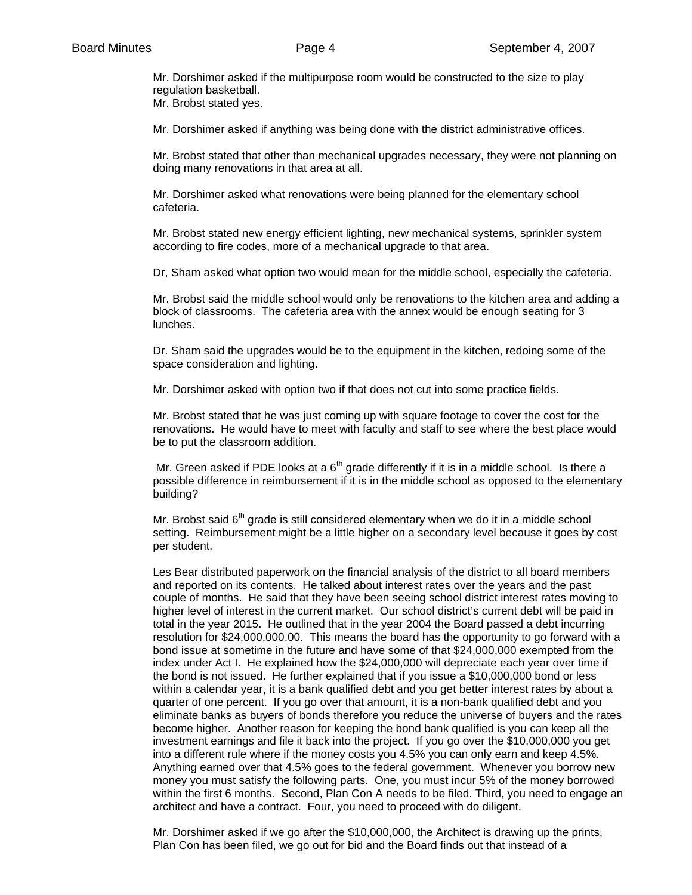Mr. Dorshimer asked if the multipurpose room would be constructed to the size to play regulation basketball.

Mr. Brobst stated yes.

Mr. Dorshimer asked if anything was being done with the district administrative offices.

Mr. Brobst stated that other than mechanical upgrades necessary, they were not planning on doing many renovations in that area at all.

Mr. Dorshimer asked what renovations were being planned for the elementary school cafeteria.

Mr. Brobst stated new energy efficient lighting, new mechanical systems, sprinkler system according to fire codes, more of a mechanical upgrade to that area.

Dr, Sham asked what option two would mean for the middle school, especially the cafeteria.

Mr. Brobst said the middle school would only be renovations to the kitchen area and adding a block of classrooms. The cafeteria area with the annex would be enough seating for 3 lunches.

Dr. Sham said the upgrades would be to the equipment in the kitchen, redoing some of the space consideration and lighting.

Mr. Dorshimer asked with option two if that does not cut into some practice fields.

Mr. Brobst stated that he was just coming up with square footage to cover the cost for the renovations. He would have to meet with faculty and staff to see where the best place would be to put the classroom addition.

Mr. Green asked if PDE looks at a  $6<sup>th</sup>$  grade differently if it is in a middle school. Is there a possible difference in reimbursement if it is in the middle school as opposed to the elementary building?

Mr. Brobst said  $6<sup>th</sup>$  grade is still considered elementary when we do it in a middle school setting. Reimbursement might be a little higher on a secondary level because it goes by cost per student.

Les Bear distributed paperwork on the financial analysis of the district to all board members and reported on its contents. He talked about interest rates over the years and the past couple of months. He said that they have been seeing school district interest rates moving to higher level of interest in the current market. Our school district's current debt will be paid in total in the year 2015. He outlined that in the year 2004 the Board passed a debt incurring resolution for \$24,000,000.00. This means the board has the opportunity to go forward with a bond issue at sometime in the future and have some of that \$24,000,000 exempted from the index under Act I. He explained how the \$24,000,000 will depreciate each year over time if the bond is not issued. He further explained that if you issue a \$10,000,000 bond or less within a calendar year, it is a bank qualified debt and you get better interest rates by about a quarter of one percent. If you go over that amount, it is a non-bank qualified debt and you eliminate banks as buyers of bonds therefore you reduce the universe of buyers and the rates become higher. Another reason for keeping the bond bank qualified is you can keep all the investment earnings and file it back into the project. If you go over the \$10,000,000 you get into a different rule where if the money costs you 4.5% you can only earn and keep 4.5%. Anything earned over that 4.5% goes to the federal government. Whenever you borrow new money you must satisfy the following parts. One, you must incur 5% of the money borrowed within the first 6 months. Second, Plan Con A needs to be filed. Third, you need to engage an architect and have a contract. Four, you need to proceed with do diligent.

Mr. Dorshimer asked if we go after the \$10,000,000, the Architect is drawing up the prints, Plan Con has been filed, we go out for bid and the Board finds out that instead of a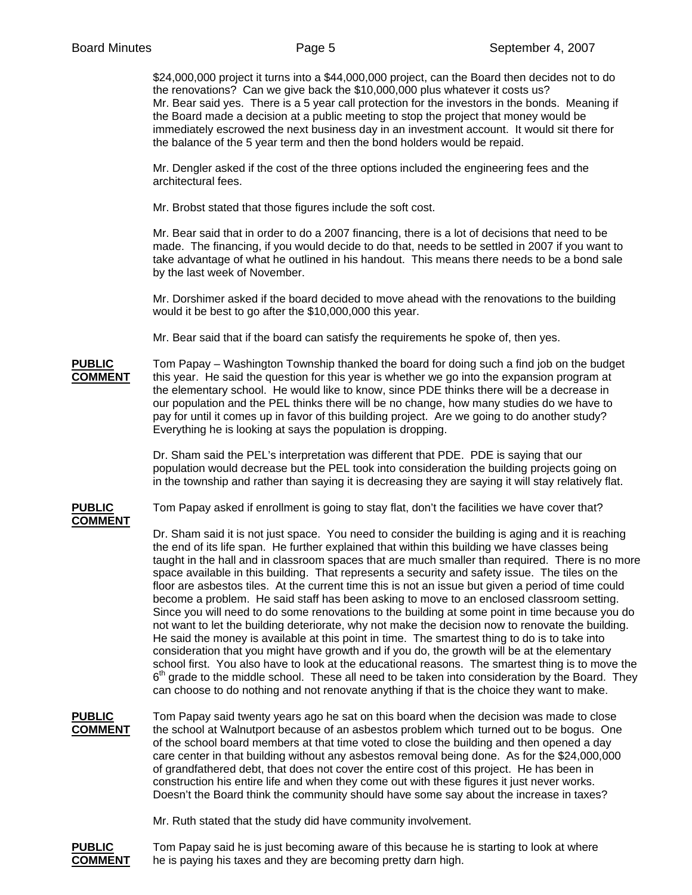\$24,000,000 project it turns into a \$44,000,000 project, can the Board then decides not to do the renovations? Can we give back the \$10,000,000 plus whatever it costs us? Mr. Bear said yes. There is a 5 year call protection for the investors in the bonds. Meaning if the Board made a decision at a public meeting to stop the project that money would be immediately escrowed the next business day in an investment account. It would sit there for the balance of the 5 year term and then the bond holders would be repaid.

Mr. Dengler asked if the cost of the three options included the engineering fees and the architectural fees.

Mr. Brobst stated that those figures include the soft cost.

Mr. Bear said that in order to do a 2007 financing, there is a lot of decisions that need to be made. The financing, if you would decide to do that, needs to be settled in 2007 if you want to take advantage of what he outlined in his handout. This means there needs to be a bond sale by the last week of November.

Mr. Dorshimer asked if the board decided to move ahead with the renovations to the building would it be best to go after the \$10,000,000 this year.

Mr. Bear said that if the board can satisfy the requirements he spoke of, then yes.

# **PUBLIC** Tom Papay – Washington Township thanked the board for doing such a find job on the budget **COMMENT** this year. He said the question for this year is whether we go into the expansion program at the elementary school. He would like to know, since PDE thinks there will be a decrease in our population and the PEL thinks there will be no change, how many studies do we have to pay for until it comes up in favor of this building project. Are we going to do another study? Everything he is looking at says the population is dropping.

Dr. Sham said the PEL's interpretation was different that PDE. PDE is saying that our population would decrease but the PEL took into consideration the building projects going on in the township and rather than saying it is decreasing they are saying it will stay relatively flat.

**PUBLIC** Tom Papay asked if enrollment is going to stay flat, don't the facilities we have cover that? **COMMENT**

> Dr. Sham said it is not just space. You need to consider the building is aging and it is reaching the end of its life span. He further explained that within this building we have classes being taught in the hall and in classroom spaces that are much smaller than required. There is no more space available in this building. That represents a security and safety issue. The tiles on the floor are asbestos tiles. At the current time this is not an issue but given a period of time could become a problem. He said staff has been asking to move to an enclosed classroom setting. Since you will need to do some renovations to the building at some point in time because you do not want to let the building deteriorate, why not make the decision now to renovate the building. He said the money is available at this point in time. The smartest thing to do is to take into consideration that you might have growth and if you do, the growth will be at the elementary school first. You also have to look at the educational reasons. The smartest thing is to move the  $6<sup>th</sup>$  grade to the middle school. These all need to be taken into consideration by the Board. They can choose to do nothing and not renovate anything if that is the choice they want to make.

**PUBLIC** Tom Papay said twenty years ago he sat on this board when the decision was made to close **COMMENT** the school at Walnutport because of an asbestos problem which turned out to be bogus. One of the school board members at that time voted to close the building and then opened a day care center in that building without any asbestos removal being done. As for the \$24,000,000 of grandfathered debt, that does not cover the entire cost of this project. He has been in construction his entire life and when they come out with these figures it just never works. Doesn't the Board think the community should have some say about the increase in taxes?

Mr. Ruth stated that the study did have community involvement.

**PUBLIC** Tom Papay said he is just becoming aware of this because he is starting to look at where **COMMENT** he is paying his taxes and they are becoming pretty darn high.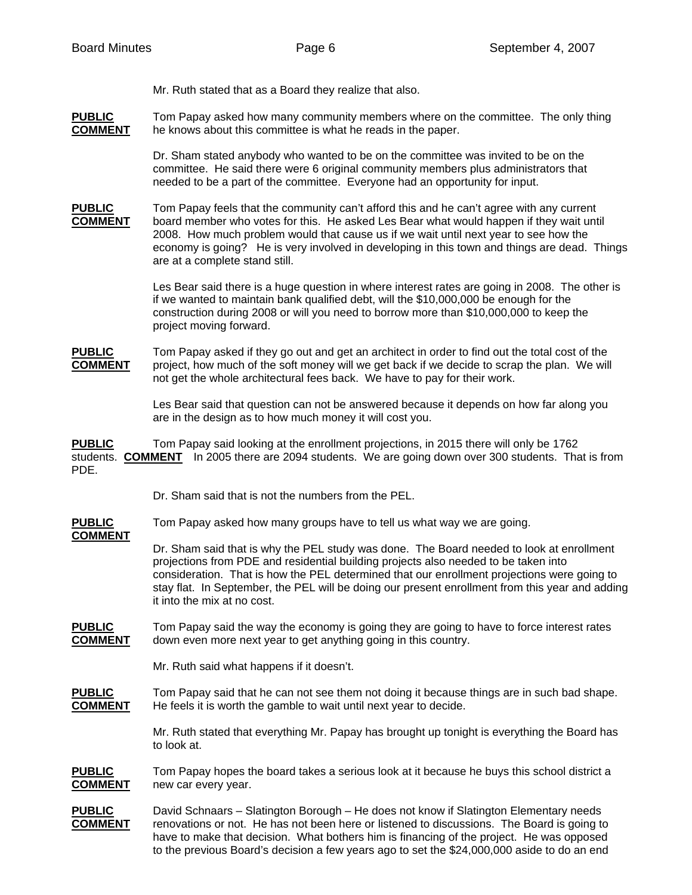Mr. Ruth stated that as a Board they realize that also.

**PUBLIC** Tom Papay asked how many community members where on the committee. The only thing **COMMENT** he knows about this committee is what he reads in the paper.

> Dr. Sham stated anybody who wanted to be on the committee was invited to be on the committee. He said there were 6 original community members plus administrators that needed to be a part of the committee. Everyone had an opportunity for input.

**PUBLIC** Tom Papay feels that the community can't afford this and he can't agree with any current **COMMENT** board member who votes for this. He asked Les Bear what would happen if they wait until 2008. How much problem would that cause us if we wait until next year to see how the economy is going? He is very involved in developing in this town and things are dead. Things are at a complete stand still.

> Les Bear said there is a huge question in where interest rates are going in 2008. The other is if we wanted to maintain bank qualified debt, will the \$10,000,000 be enough for the construction during 2008 or will you need to borrow more than \$10,000,000 to keep the project moving forward.

**PUBLIC** Tom Papay asked if they go out and get an architect in order to find out the total cost of the **COMMENT** project, how much of the soft money will we get back if we decide to scrap the plan. We will not get the whole architectural fees back. We have to pay for their work.

> Les Bear said that question can not be answered because it depends on how far along you are in the design as to how much money it will cost you.

**PUBLIC** Tom Papay said looking at the enrollment projections, in 2015 there will only be 1762 students. **COMMENT** In 2005 there are 2094 students. We are going down over 300 students. That is from PDE.

Dr. Sham said that is not the numbers from the PEL.

**PUBLIC** Tom Papay asked how many groups have to tell us what way we are going.

**COMMENT**

 Dr. Sham said that is why the PEL study was done. The Board needed to look at enrollment projections from PDE and residential building projects also needed to be taken into consideration. That is how the PEL determined that our enrollment projections were going to stay flat. In September, the PEL will be doing our present enrollment from this year and adding it into the mix at no cost.

**PUBLIC** Tom Papay said the way the economy is going they are going to have to force interest rates **COMMENT** down even more next year to get anything going in this country.

Mr. Ruth said what happens if it doesn't.

**PUBLIC** Tom Papay said that he can not see them not doing it because things are in such bad shape. **COMMENT** He feels it is worth the gamble to wait until next year to decide.

> Mr. Ruth stated that everything Mr. Papay has brought up tonight is everything the Board has to look at.

**PUBLIC** Tom Papay hopes the board takes a serious look at it because he buys this school district a **COMMENT** new car every year.

**PUBLIC** David Schnaars – Slatington Borough – He does not know if Slatington Elementary needs **COMMENT** renovations or not. He has not been here or listened to discussions. The Board is going to have to make that decision. What bothers him is financing of the project. He was opposed to the previous Board's decision a few years ago to set the \$24,000,000 aside to do an end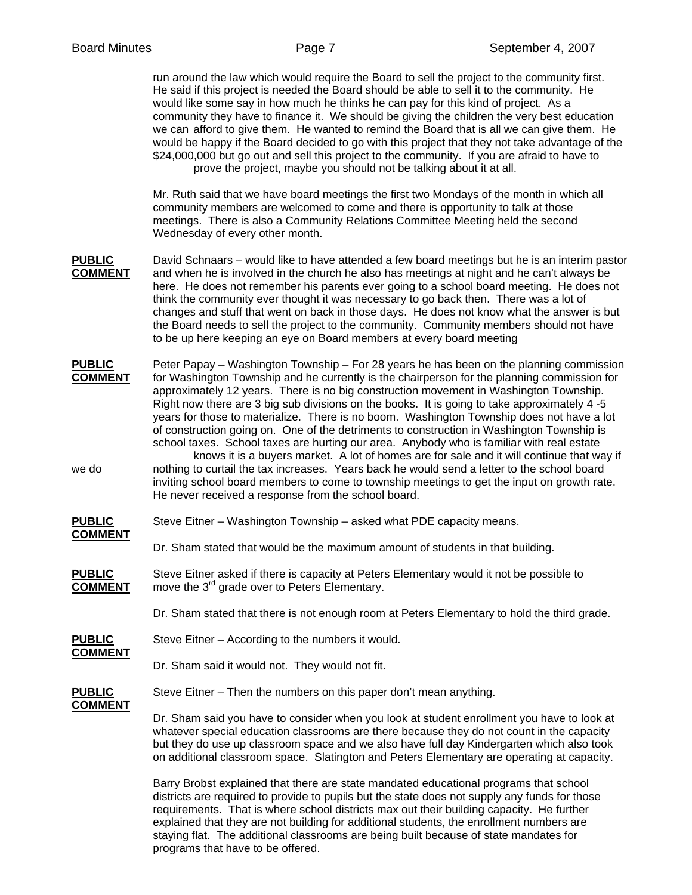run around the law which would require the Board to sell the project to the community first. He said if this project is needed the Board should be able to sell it to the community. He would like some say in how much he thinks he can pay for this kind of project. As a community they have to finance it. We should be giving the children the very best education we can afford to give them. He wanted to remind the Board that is all we can give them. He would be happy if the Board decided to go with this project that they not take advantage of the \$24,000,000 but go out and sell this project to the community. If you are afraid to have to prove the project, maybe you should not be talking about it at all.

 Mr. Ruth said that we have board meetings the first two Mondays of the month in which all community members are welcomed to come and there is opportunity to talk at those meetings. There is also a Community Relations Committee Meeting held the second Wednesday of every other month.

- **PUBLIC** David Schnaars would like to have attended a few board meetings but he is an interim pastor **COMMENT** and when he is involved in the church he also has meetings at night and he can't always be here. He does not remember his parents ever going to a school board meeting. He does not think the community ever thought it was necessary to go back then. There was a lot of changes and stuff that went on back in those days. He does not know what the answer is but the Board needs to sell the project to the community. Community members should not have to be up here keeping an eye on Board members at every board meeting
- **PUBLIC** Peter Papay Washington Township For 28 years he has been on the planning commission **COMMENT** for Washington Township and he currently is the chairperson for the planning commission for approximately 12 years. There is no big construction movement in Washington Township. Right now there are 3 big sub divisions on the books. It is going to take approximately 4 -5 years for those to materialize. There is no boom. Washington Township does not have a lot of construction going on. One of the detriments to construction in Washington Township is school taxes. School taxes are hurting our area. Anybody who is familiar with real estate

 knows it is a buyers market. A lot of homes are for sale and it will continue that way if we do nothing to curtail the tax increases. Years back he would send a letter to the school board inviting school board members to come to township meetings to get the input on growth rate. He never received a response from the school board.

- **PUBLIC** Steve Eitner Washington Township asked what PDE capacity means. **COMMENT**
	- Dr. Sham stated that would be the maximum amount of students in that building.
- **PUBLIC** Steve Eitner asked if there is capacity at Peters Elementary would it not be possible to **COMMENT** move the 3<sup>rd</sup> grade over to Peters Elementary. move the 3<sup>rd</sup> grade over to Peters Elementary.
	- Dr. Sham stated that there is not enough room at Peters Elementary to hold the third grade.
- **PUBLIC** Steve Eitner According to the numbers it would.
	- Dr. Sham said it would not. They would not fit.
- **PUBLIC** Steve Eitner Then the numbers on this paper don't mean anything.

## **COMMENT**

**COMMENT**

 Dr. Sham said you have to consider when you look at student enrollment you have to look at whatever special education classrooms are there because they do not count in the capacity but they do use up classroom space and we also have full day Kindergarten which also took on additional classroom space. Slatington and Peters Elementary are operating at capacity.

 Barry Brobst explained that there are state mandated educational programs that school districts are required to provide to pupils but the state does not supply any funds for those requirements. That is where school districts max out their building capacity. He further explained that they are not building for additional students, the enrollment numbers are staying flat. The additional classrooms are being built because of state mandates for programs that have to be offered.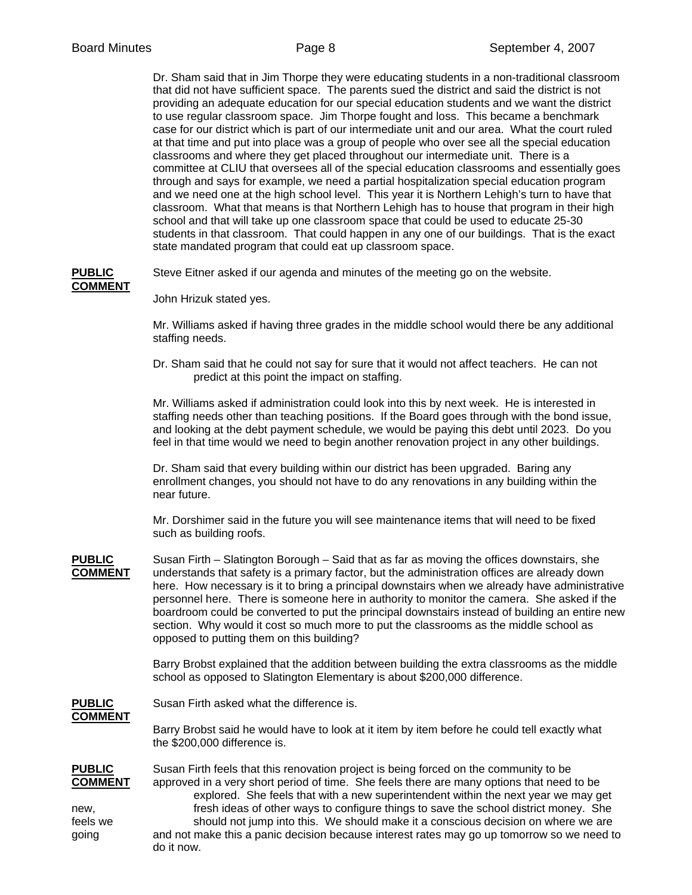**COMMENT**

 Dr. Sham said that in Jim Thorpe they were educating students in a non-traditional classroom that did not have sufficient space. The parents sued the district and said the district is not providing an adequate education for our special education students and we want the district to use regular classroom space. Jim Thorpe fought and loss. This became a benchmark case for our district which is part of our intermediate unit and our area. What the court ruled at that time and put into place was a group of people who over see all the special education classrooms and where they get placed throughout our intermediate unit. There is a committee at CLIU that oversees all of the special education classrooms and essentially goes through and says for example, we need a partial hospitalization special education program and we need one at the high school level. This year it is Northern Lehigh's turn to have that classroom. What that means is that Northern Lehigh has to house that program in their high school and that will take up one classroom space that could be used to educate 25-30 students in that classroom. That could happen in any one of our buildings. That is the exact state mandated program that could eat up classroom space.

**PUBLIC** Steve Eitner asked if our agenda and minutes of the meeting go on the website.

John Hrizuk stated yes.

 Mr. Williams asked if having three grades in the middle school would there be any additional staffing needs.

 Dr. Sham said that he could not say for sure that it would not affect teachers. He can not predict at this point the impact on staffing.

 Mr. Williams asked if administration could look into this by next week. He is interested in staffing needs other than teaching positions. If the Board goes through with the bond issue, and looking at the debt payment schedule, we would be paying this debt until 2023. Do you feel in that time would we need to begin another renovation project in any other buildings.

 Dr. Sham said that every building within our district has been upgraded. Baring any enrollment changes, you should not have to do any renovations in any building within the near future.

 Mr. Dorshimer said in the future you will see maintenance items that will need to be fixed such as building roofs.

**PUBLIC** Susan Firth – Slatington Borough – Said that as far as moving the offices downstairs, she **COMMENT** understands that safety is a primary factor, but the administration offices are already down here. How necessary is it to bring a principal downstairs when we already have administrative personnel here. There is someone here in authority to monitor the camera. She asked if the boardroom could be converted to put the principal downstairs instead of building an entire new section. Why would it cost so much more to put the classrooms as the middle school as opposed to putting them on this building?

> Barry Brobst explained that the addition between building the extra classrooms as the middle school as opposed to Slatington Elementary is about \$200,000 difference.

**PUBLIC** Susan Firth asked what the difference is. **COMMENT**

> Barry Brobst said he would have to look at it item by item before he could tell exactly what the \$200,000 difference is.

**PUBLIC** Susan Firth feels that this renovation project is being forced on the community to be **COMMENT** approved in a very short period of time. She feels there are many options that need to be explored. She feels that with a new superintendent within the next year we may get new, fresh ideas of other ways to configure things to save the school district money. She feels we should not jump into this. We should make it a conscious decision on where we are going and not make this a panic decision because interest rates may go up tomorrow so we need to do it now.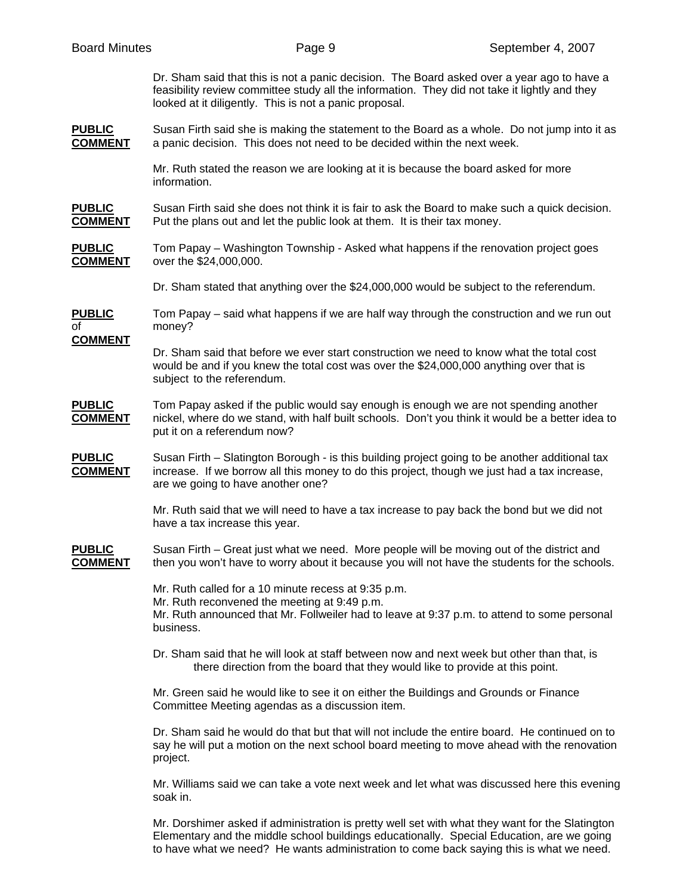Dr. Sham said that this is not a panic decision. The Board asked over a year ago to have a feasibility review committee study all the information. They did not take it lightly and they looked at it diligently. This is not a panic proposal.

**PUBLIC** Susan Firth said she is making the statement to the Board as a whole. Do not jump into it as **COMMENT** a panic decision. This does not need to be decided within the next week.

> Mr. Ruth stated the reason we are looking at it is because the board asked for more information.

**PUBLIC** Susan Firth said she does not think it is fair to ask the Board to make such a quick decision. **COMMENT** Put the plans out and let the public look at them. It is their tax money.

**PUBLIC** Tom Papay – Washington Township - Asked what happens if the renovation project goes **COMMENT** over the \$24,000,000.

Dr. Sham stated that anything over the \$24,000,000 would be subject to the referendum.

**PUBLIC** Tom Papay – said what happens if we are half way through the construction and we run out of money?

**COMMENT**

 Dr. Sham said that before we ever start construction we need to know what the total cost would be and if you knew the total cost was over the \$24,000,000 anything over that is subject to the referendum.

#### **PUBLIC** Tom Papay asked if the public would say enough is enough we are not spending another **COMMENT** nickel, where do we stand, with half built schools. Don't you think it would be a better idea to put it on a referendum now?

**PUBLIC** Susan Firth – Slatington Borough - is this building project going to be another additional tax **COMMENT** increase. If we borrow all this money to do this project, though we just had a tax increase, are we going to have another one?

> Mr. Ruth said that we will need to have a tax increase to pay back the bond but we did not have a tax increase this year.

**PUBLIC** Susan Firth – Great just what we need. More people will be moving out of the district and **COMMENT** then you won't have to worry about it because you will not have the students for the schools.

Mr. Ruth called for a 10 minute recess at 9:35 p.m.

Mr. Ruth reconvened the meeting at 9:49 p.m.

 Mr. Ruth announced that Mr. Follweiler had to leave at 9:37 p.m. to attend to some personal business.

 Dr. Sham said that he will look at staff between now and next week but other than that, is there direction from the board that they would like to provide at this point.

 Mr. Green said he would like to see it on either the Buildings and Grounds or Finance Committee Meeting agendas as a discussion item.

 Dr. Sham said he would do that but that will not include the entire board. He continued on to say he will put a motion on the next school board meeting to move ahead with the renovation project.

 Mr. Williams said we can take a vote next week and let what was discussed here this evening soak in.

 Mr. Dorshimer asked if administration is pretty well set with what they want for the Slatington Elementary and the middle school buildings educationally. Special Education, are we going to have what we need? He wants administration to come back saying this is what we need.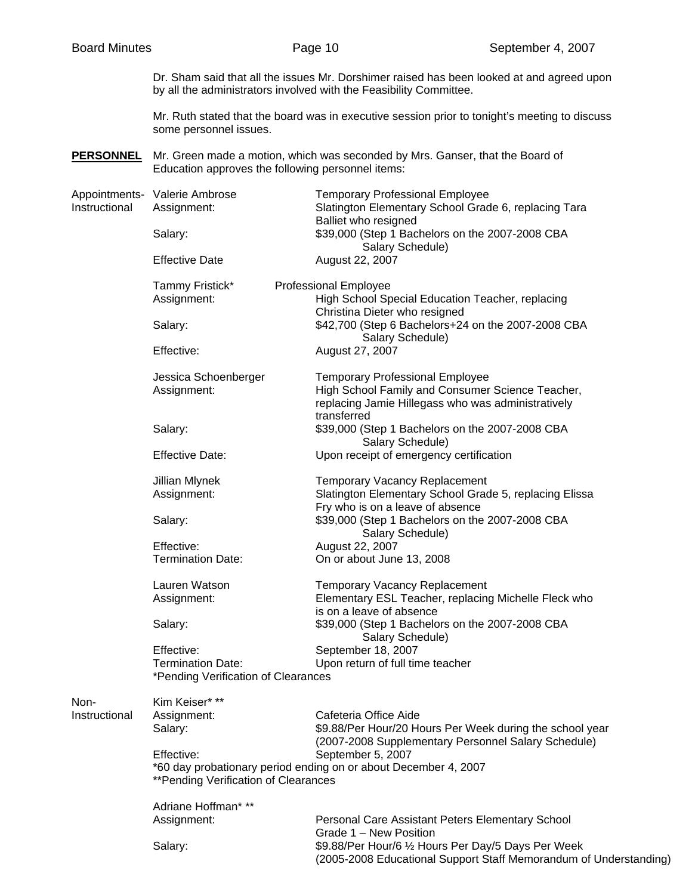Dr. Sham said that all the issues Mr. Dorshimer raised has been looked at and agreed upon by all the administrators involved with the Feasibility Committee.

Mr. Ruth stated that the board was in executive session prior to tonight's meeting to discuss some personnel issues.

**PERSONNEL** Mr. Green made a motion, which was seconded by Mrs. Ganser, that the Board of Education approves the following personnel items:

| Instructional | Appointments- Valerie Ambrose<br>Assignment:                                                             | <b>Temporary Professional Employee</b><br>Slatington Elementary School Grade 6, replacing Tara<br>Balliet who resigned                                          |  |
|---------------|----------------------------------------------------------------------------------------------------------|-----------------------------------------------------------------------------------------------------------------------------------------------------------------|--|
|               | Salary:                                                                                                  | \$39,000 (Step 1 Bachelors on the 2007-2008 CBA                                                                                                                 |  |
|               | <b>Effective Date</b>                                                                                    | Salary Schedule)<br>August 22, 2007                                                                                                                             |  |
|               | Tammy Fristick*                                                                                          | <b>Professional Employee</b>                                                                                                                                    |  |
|               | Assignment:                                                                                              | High School Special Education Teacher, replacing<br>Christina Dieter who resigned                                                                               |  |
|               | Salary:                                                                                                  | \$42,700 (Step 6 Bachelors+24 on the 2007-2008 CBA<br>Salary Schedule)                                                                                          |  |
|               | Effective:                                                                                               | August 27, 2007                                                                                                                                                 |  |
|               | Jessica Schoenberger<br>Assignment:                                                                      | <b>Temporary Professional Employee</b><br>High School Family and Consumer Science Teacher,<br>replacing Jamie Hillegass who was administratively<br>transferred |  |
|               | Salary:                                                                                                  | \$39,000 (Step 1 Bachelors on the 2007-2008 CBA<br>Salary Schedule)                                                                                             |  |
|               | <b>Effective Date:</b>                                                                                   | Upon receipt of emergency certification                                                                                                                         |  |
|               | Jillian Mlynek                                                                                           | Temporary Vacancy Replacement                                                                                                                                   |  |
|               | Assignment:                                                                                              | Slatington Elementary School Grade 5, replacing Elissa<br>Fry who is on a leave of absence                                                                      |  |
|               | Salary:                                                                                                  | \$39,000 (Step 1 Bachelors on the 2007-2008 CBA<br>Salary Schedule)                                                                                             |  |
|               | Effective:                                                                                               | August 22, 2007                                                                                                                                                 |  |
|               | <b>Termination Date:</b>                                                                                 | On or about June 13, 2008                                                                                                                                       |  |
|               | Lauren Watson                                                                                            | <b>Temporary Vacancy Replacement</b>                                                                                                                            |  |
|               | Assignment:                                                                                              | Elementary ESL Teacher, replacing Michelle Fleck who                                                                                                            |  |
|               | Salary:                                                                                                  | is on a leave of absence<br>\$39,000 (Step 1 Bachelors on the 2007-2008 CBA                                                                                     |  |
|               | Effective:                                                                                               | Salary Schedule)<br>September 18, 2007                                                                                                                          |  |
|               | <b>Termination Date:</b>                                                                                 | Upon return of full time teacher                                                                                                                                |  |
|               | *Pending Verification of Clearances                                                                      |                                                                                                                                                                 |  |
| Non-          | Kim Keiser* **                                                                                           |                                                                                                                                                                 |  |
| Instructional | Assignment:                                                                                              | Cafeteria Office Aide                                                                                                                                           |  |
|               | Salary:                                                                                                  | \$9.88/Per Hour/20 Hours Per Week during the school year<br>(2007-2008 Supplementary Personnel Salary Schedule)                                                 |  |
|               | Effective:                                                                                               | September 5, 2007                                                                                                                                               |  |
|               | *60 day probationary period ending on or about December 4, 2007<br>** Pending Verification of Clearances |                                                                                                                                                                 |  |
|               | Adriane Hoffman***                                                                                       |                                                                                                                                                                 |  |
|               | Assignment:                                                                                              | Personal Care Assistant Peters Elementary School<br>Grade 1 - New Position                                                                                      |  |
|               | Salary:                                                                                                  | \$9.88/Per Hour/6 1/2 Hours Per Day/5 Days Per Week<br>(2005-2008 Educational Support Staff Memorandum of Understanding)                                        |  |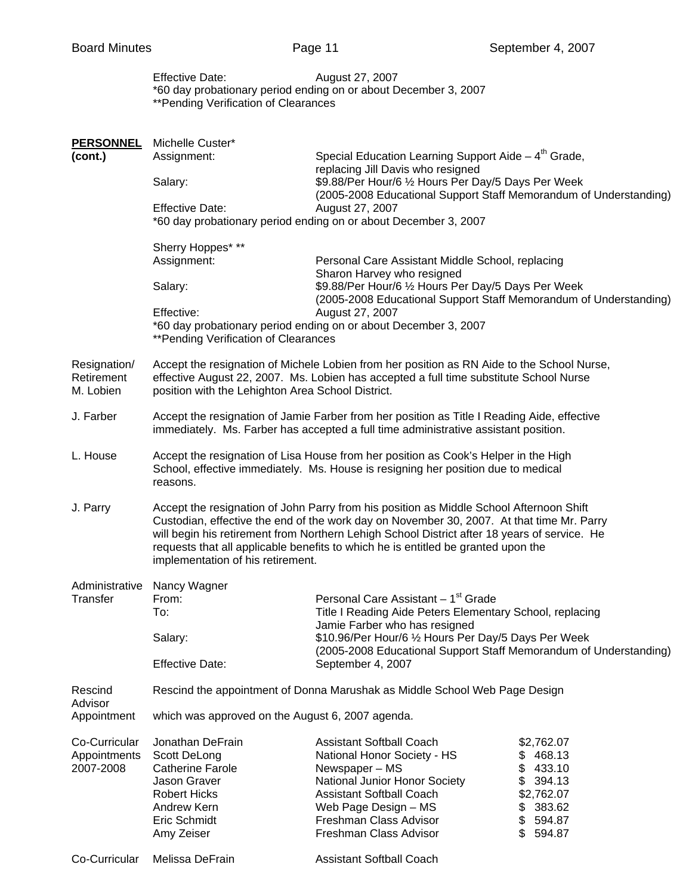|                                            | <b>Effective Date:</b><br>**Pending Verification of Clearances                                                                                                                                                                                                                                                                                                                                                 | August 27, 2007<br>*60 day probationary period ending on or about December 3, 2007                                                                                                                                                                                                             |                                                                                                              |  |
|--------------------------------------------|----------------------------------------------------------------------------------------------------------------------------------------------------------------------------------------------------------------------------------------------------------------------------------------------------------------------------------------------------------------------------------------------------------------|------------------------------------------------------------------------------------------------------------------------------------------------------------------------------------------------------------------------------------------------------------------------------------------------|--------------------------------------------------------------------------------------------------------------|--|
| <b>PERSONNEL</b><br>(cont.)                | Michelle Custer*<br>Assignment:<br>Salary:                                                                                                                                                                                                                                                                                                                                                                     | Special Education Learning Support Aide $-4th$ Grade,<br>replacing Jill Davis who resigned<br>\$9.88/Per Hour/6 1/2 Hours Per Day/5 Days Per Week<br>(2005-2008 Educational Support Staff Memorandum of Understanding)                                                                         |                                                                                                              |  |
|                                            | <b>Effective Date:</b>                                                                                                                                                                                                                                                                                                                                                                                         | August 27, 2007<br>*60 day probationary period ending on or about December 3, 2007                                                                                                                                                                                                             |                                                                                                              |  |
|                                            | Sherry Hoppes* **<br>Assignment:<br>Salary:<br>Effective:                                                                                                                                                                                                                                                                                                                                                      | Personal Care Assistant Middle School, replacing<br>Sharon Harvey who resigned<br>\$9.88/Per Hour/6 1/2 Hours Per Day/5 Days Per Week<br>(2005-2008 Educational Support Staff Memorandum of Understanding)<br>August 27, 2007                                                                  |                                                                                                              |  |
| Resignation/<br>Retirement                 | *60 day probationary period ending on or about December 3, 2007<br>** Pending Verification of Clearances<br>Accept the resignation of Michele Lobien from her position as RN Aide to the School Nurse,<br>effective August 22, 2007. Ms. Lobien has accepted a full time substitute School Nurse                                                                                                               |                                                                                                                                                                                                                                                                                                |                                                                                                              |  |
| M. Lobien<br>J. Farber                     | position with the Lehighton Area School District.<br>Accept the resignation of Jamie Farber from her position as Title I Reading Aide, effective<br>immediately. Ms. Farber has accepted a full time administrative assistant position.                                                                                                                                                                        |                                                                                                                                                                                                                                                                                                |                                                                                                              |  |
| L. House                                   | Accept the resignation of Lisa House from her position as Cook's Helper in the High<br>School, effective immediately. Ms. House is resigning her position due to medical<br>reasons.                                                                                                                                                                                                                           |                                                                                                                                                                                                                                                                                                |                                                                                                              |  |
| J. Parry                                   | Accept the resignation of John Parry from his position as Middle School Afternoon Shift<br>Custodian, effective the end of the work day on November 30, 2007. At that time Mr. Parry<br>will begin his retirement from Northern Lehigh School District after 18 years of service. He<br>requests that all applicable benefits to which he is entitled be granted upon the<br>implementation of his retirement. |                                                                                                                                                                                                                                                                                                |                                                                                                              |  |
| Transfer                                   | Administrative Nancy Wagner<br>From:<br>To:<br>Salary:<br><b>Effective Date:</b>                                                                                                                                                                                                                                                                                                                               | Personal Care Assistant - 1 <sup>st</sup> Grade<br>Title I Reading Aide Peters Elementary School, replacing<br>Jamie Farber who has resigned<br>\$10.96/Per Hour/6 1/2 Hours Per Day/5 Days Per Week<br>(2005-2008 Educational Support Staff Memorandum of Understanding)<br>September 4, 2007 |                                                                                                              |  |
| Rescind<br>Advisor                         | Rescind the appointment of Donna Marushak as Middle School Web Page Design                                                                                                                                                                                                                                                                                                                                     |                                                                                                                                                                                                                                                                                                |                                                                                                              |  |
| Appointment                                | which was approved on the August 6, 2007 agenda.                                                                                                                                                                                                                                                                                                                                                               |                                                                                                                                                                                                                                                                                                |                                                                                                              |  |
| Co-Curricular<br>Appointments<br>2007-2008 | Jonathan DeFrain<br>Scott DeLong<br><b>Catherine Farole</b><br>Jason Graver<br><b>Robert Hicks</b><br>Andrew Kern<br>Eric Schmidt<br>Amy Zeiser                                                                                                                                                                                                                                                                | <b>Assistant Softball Coach</b><br>National Honor Society - HS<br>Newspaper - MS<br>National Junior Honor Society<br><b>Assistant Softball Coach</b><br>Web Page Design - MS<br>Freshman Class Advisor<br>Freshman Class Advisor                                                               | \$2,762.07<br>\$468.13<br>\$433.10<br>\$<br>394.13<br>\$2,762.07<br>383.62<br>\$<br>\$594.87<br>\$<br>594.87 |  |
| Co-Curricular                              | Melissa DeFrain                                                                                                                                                                                                                                                                                                                                                                                                | <b>Assistant Softball Coach</b>                                                                                                                                                                                                                                                                |                                                                                                              |  |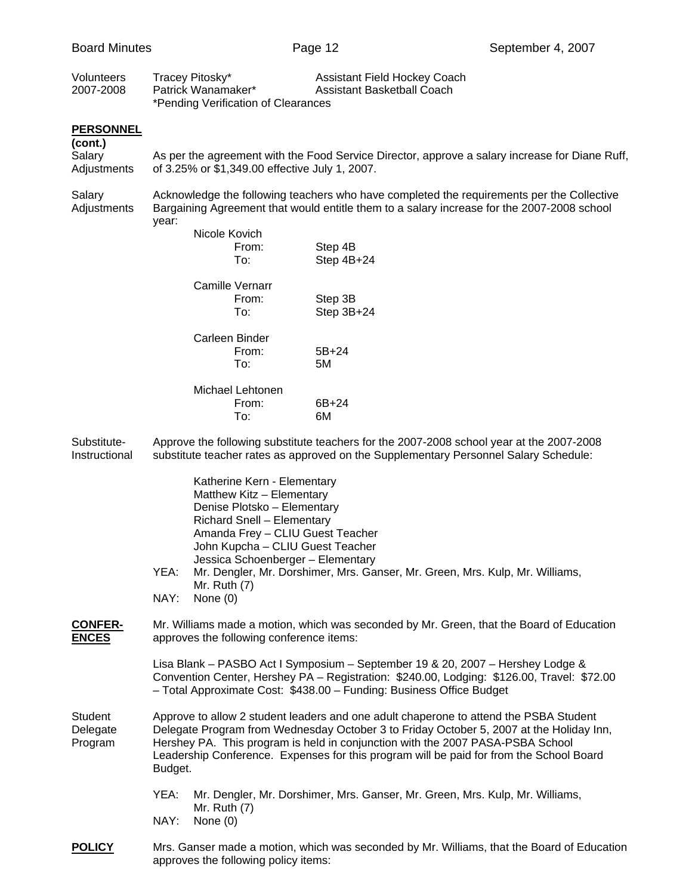| Volunteers<br>2007-2008                              | Tracey Pitosky*<br>Patrick Wanamaker*<br>*Pending Verification of Clearances                                                                                                                                                                                                                                                                                             | Assistant Field Hockey Coach<br>Assistant Basketball Coach                                                                                                                                                                                           |  |  |  |
|------------------------------------------------------|--------------------------------------------------------------------------------------------------------------------------------------------------------------------------------------------------------------------------------------------------------------------------------------------------------------------------------------------------------------------------|------------------------------------------------------------------------------------------------------------------------------------------------------------------------------------------------------------------------------------------------------|--|--|--|
| <b>PERSONNEL</b><br>(cont.)<br>Salary<br>Adjustments | of 3.25% or \$1,349.00 effective July 1, 2007.                                                                                                                                                                                                                                                                                                                           | As per the agreement with the Food Service Director, approve a salary increase for Diane Ruff,                                                                                                                                                       |  |  |  |
| Salary<br>Adjustments                                | Acknowledge the following teachers who have completed the requirements per the Collective<br>Bargaining Agreement that would entitle them to a salary increase for the 2007-2008 school<br>year:                                                                                                                                                                         |                                                                                                                                                                                                                                                      |  |  |  |
|                                                      | Nicole Kovich<br>From:<br>To:                                                                                                                                                                                                                                                                                                                                            | Step 4B<br>Step 4B+24                                                                                                                                                                                                                                |  |  |  |
|                                                      | Camille Vernarr<br>From:<br>To:                                                                                                                                                                                                                                                                                                                                          | Step 3B<br>Step 3B+24                                                                                                                                                                                                                                |  |  |  |
|                                                      | Carleen Binder<br>From:<br>To:                                                                                                                                                                                                                                                                                                                                           | $5B+24$<br>5M                                                                                                                                                                                                                                        |  |  |  |
|                                                      | Michael Lehtonen<br>From:<br>To:                                                                                                                                                                                                                                                                                                                                         | 6B+24<br>6M                                                                                                                                                                                                                                          |  |  |  |
| Substitute-<br>Instructional                         | Approve the following substitute teachers for the 2007-2008 school year at the 2007-2008<br>substitute teacher rates as approved on the Supplementary Personnel Salary Schedule:                                                                                                                                                                                         |                                                                                                                                                                                                                                                      |  |  |  |
|                                                      | Katherine Kern - Elementary<br>Matthew Kitz - Elementary<br>Denise Plotsko - Elementary<br>Richard Snell - Elementary<br>Amanda Frey - CLIU Guest Teacher<br>John Kupcha - CLIU Guest Teacher<br>Jessica Schoenberger - Elementary                                                                                                                                       |                                                                                                                                                                                                                                                      |  |  |  |
|                                                      | YEA:<br>Mr. Ruth (7)<br>NAY:<br>None $(0)$                                                                                                                                                                                                                                                                                                                               | Mr. Dengler, Mr. Dorshimer, Mrs. Ganser, Mr. Green, Mrs. Kulp, Mr. Williams,                                                                                                                                                                         |  |  |  |
| <b>CONFER-</b><br><b>ENCES</b>                       | Mr. Williams made a motion, which was seconded by Mr. Green, that the Board of Education<br>approves the following conference items:                                                                                                                                                                                                                                     |                                                                                                                                                                                                                                                      |  |  |  |
|                                                      |                                                                                                                                                                                                                                                                                                                                                                          | Lisa Blank – PASBO Act I Symposium – September 19 & 20, 2007 – Hershey Lodge &<br>Convention Center, Hershey PA - Registration: \$240.00, Lodging: \$126.00, Travel: \$72.00<br>- Total Approximate Cost: \$438.00 - Funding: Business Office Budget |  |  |  |
| <b>Student</b><br>Delegate<br>Program                | Approve to allow 2 student leaders and one adult chaperone to attend the PSBA Student<br>Delegate Program from Wednesday October 3 to Friday October 5, 2007 at the Holiday Inn,<br>Hershey PA. This program is held in conjunction with the 2007 PASA-PSBA School<br>Leadership Conference. Expenses for this program will be paid for from the School Board<br>Budget. |                                                                                                                                                                                                                                                      |  |  |  |
|                                                      | YEA:<br>Mr. Ruth $(7)$<br>NAY:<br>None $(0)$                                                                                                                                                                                                                                                                                                                             | Mr. Dengler, Mr. Dorshimer, Mrs. Ganser, Mr. Green, Mrs. Kulp, Mr. Williams,                                                                                                                                                                         |  |  |  |
| <b>POLICY</b>                                        |                                                                                                                                                                                                                                                                                                                                                                          | Mrs. Ganser made a motion, which was seconded by Mr. Williams, that the Board of Education                                                                                                                                                           |  |  |  |

approves the following policy items: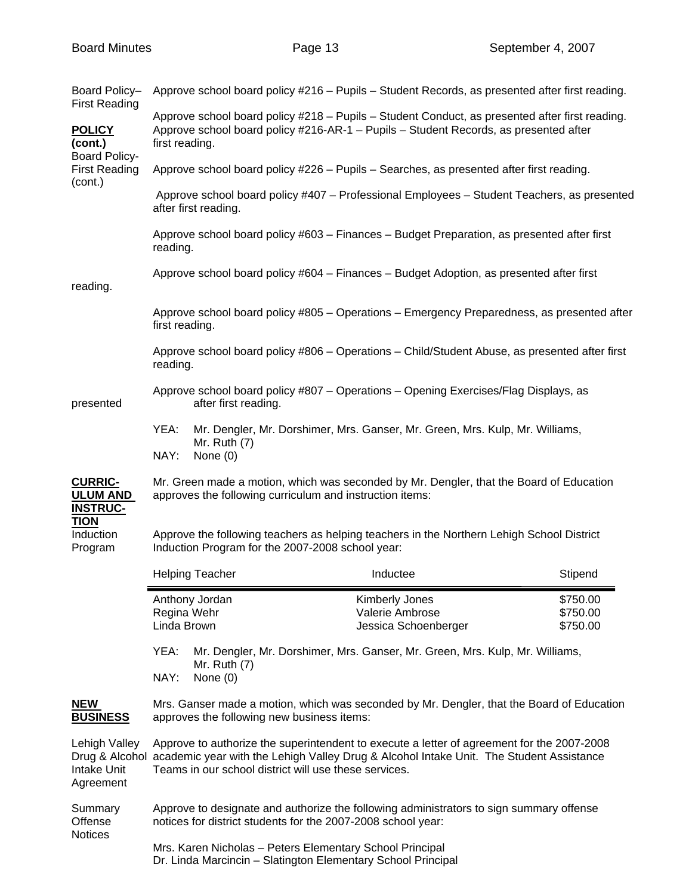| Board Policy-<br><b>First Reading</b>                                               |                                                                                                                                                                                                                                                               |                                                              | Approve school board policy #216 - Pupils - Student Records, as presented after first reading.                                                                                         |                                  |  |
|-------------------------------------------------------------------------------------|---------------------------------------------------------------------------------------------------------------------------------------------------------------------------------------------------------------------------------------------------------------|--------------------------------------------------------------|----------------------------------------------------------------------------------------------------------------------------------------------------------------------------------------|----------------------------------|--|
| <b>POLICY</b><br>(cont.)<br><b>Board Policy-</b><br><b>First Reading</b><br>(cont.) | first reading.                                                                                                                                                                                                                                                |                                                              | Approve school board policy #218 - Pupils - Student Conduct, as presented after first reading.<br>Approve school board policy #216-AR-1 - Pupils - Student Records, as presented after |                                  |  |
|                                                                                     |                                                                                                                                                                                                                                                               |                                                              | Approve school board policy #226 - Pupils - Searches, as presented after first reading.                                                                                                |                                  |  |
|                                                                                     |                                                                                                                                                                                                                                                               | after first reading.                                         | Approve school board policy #407 - Professional Employees - Student Teachers, as presented                                                                                             |                                  |  |
|                                                                                     | reading.                                                                                                                                                                                                                                                      |                                                              | Approve school board policy #603 – Finances – Budget Preparation, as presented after first                                                                                             |                                  |  |
| reading.                                                                            |                                                                                                                                                                                                                                                               |                                                              | Approve school board policy #604 – Finances – Budget Adoption, as presented after first                                                                                                |                                  |  |
|                                                                                     | first reading.                                                                                                                                                                                                                                                |                                                              | Approve school board policy #805 - Operations - Emergency Preparedness, as presented after                                                                                             |                                  |  |
|                                                                                     | reading.                                                                                                                                                                                                                                                      |                                                              | Approve school board policy #806 - Operations - Child/Student Abuse, as presented after first                                                                                          |                                  |  |
| presented                                                                           |                                                                                                                                                                                                                                                               | after first reading.                                         | Approve school board policy #807 - Operations - Opening Exercises/Flag Displays, as                                                                                                    |                                  |  |
|                                                                                     | YEA:<br>NAY:                                                                                                                                                                                                                                                  | Mr. Ruth (7)<br>None (0)                                     | Mr. Dengler, Mr. Dorshimer, Mrs. Ganser, Mr. Green, Mrs. Kulp, Mr. Williams,                                                                                                           |                                  |  |
| <b>CURRIC-</b><br><b>ULUM AND</b><br><b>INSTRUC-</b>                                | Mr. Green made a motion, which was seconded by Mr. Dengler, that the Board of Education<br>approves the following curriculum and instruction items:                                                                                                           |                                                              |                                                                                                                                                                                        |                                  |  |
| <b>TION</b><br>Induction<br>Program                                                 | Approve the following teachers as helping teachers in the Northern Lehigh School District<br>Induction Program for the 2007-2008 school year:                                                                                                                 |                                                              |                                                                                                                                                                                        |                                  |  |
|                                                                                     |                                                                                                                                                                                                                                                               | <b>Helping Teacher</b>                                       | Inductee                                                                                                                                                                               | Stipend                          |  |
|                                                                                     | Regina Wehr<br>Linda Brown                                                                                                                                                                                                                                    | Anthony Jordan                                               | Kimberly Jones<br>Valerie Ambrose<br>Jessica Schoenberger                                                                                                                              | \$750.00<br>\$750.00<br>\$750.00 |  |
|                                                                                     | Mr. Dengler, Mr. Dorshimer, Mrs. Ganser, Mr. Green, Mrs. Kulp, Mr. Williams,<br>YEA:<br>Mr. Ruth $(7)$<br>NAY:<br>None (0)                                                                                                                                    |                                                              |                                                                                                                                                                                        |                                  |  |
| <b>NEW</b><br><b>BUSINESS</b>                                                       | Mrs. Ganser made a motion, which was seconded by Mr. Dengler, that the Board of Education<br>approves the following new business items:                                                                                                                       |                                                              |                                                                                                                                                                                        |                                  |  |
| Lehigh Valley<br><b>Intake Unit</b><br>Agreement                                    | Approve to authorize the superintendent to execute a letter of agreement for the 2007-2008<br>Drug & Alcohol academic year with the Lehigh Valley Drug & Alcohol Intake Unit. The Student Assistance<br>Teams in our school district will use these services. |                                                              |                                                                                                                                                                                        |                                  |  |
| Summary<br>Offense<br><b>Notices</b>                                                |                                                                                                                                                                                                                                                               | notices for district students for the 2007-2008 school year: | Approve to designate and authorize the following administrators to sign summary offense                                                                                                |                                  |  |
|                                                                                     |                                                                                                                                                                                                                                                               | Mrs. Karen Nicholas - Peters Elementary School Principal     |                                                                                                                                                                                        |                                  |  |

Dr. Linda Marcincin – Slatington Elementary School Principal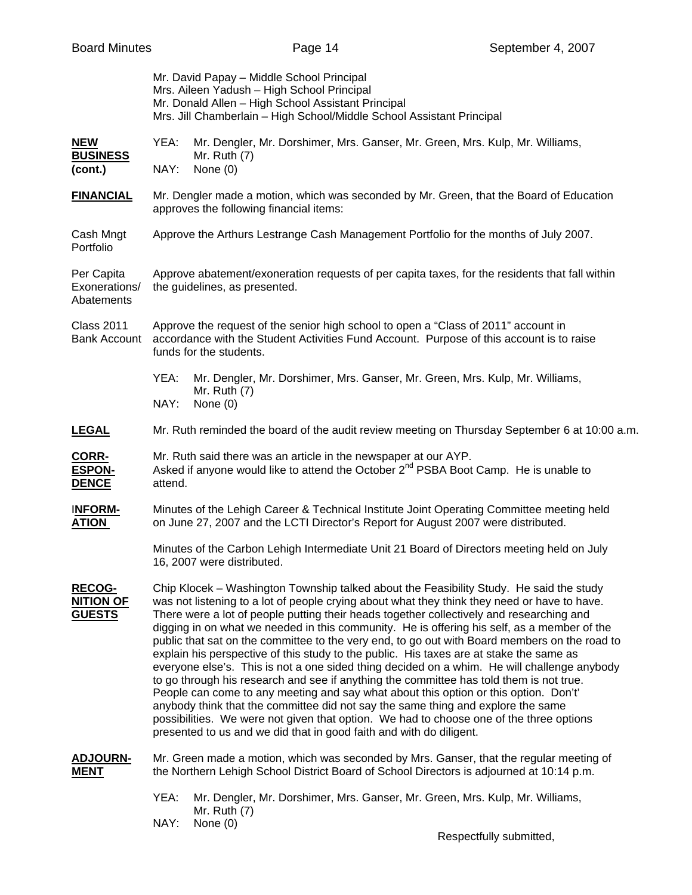|                                                    | Mr. David Papay - Middle School Principal<br>Mrs. Aileen Yadush - High School Principal<br>Mr. Donald Allen - High School Assistant Principal<br>Mrs. Jill Chamberlain - High School/Middle School Assistant Principal                                                                                                                                                                                                                                                                                                                                                                                                                                                                                                                                                                                                                                                                                                                                                                                                                                                                                                 |  |  |
|----------------------------------------------------|------------------------------------------------------------------------------------------------------------------------------------------------------------------------------------------------------------------------------------------------------------------------------------------------------------------------------------------------------------------------------------------------------------------------------------------------------------------------------------------------------------------------------------------------------------------------------------------------------------------------------------------------------------------------------------------------------------------------------------------------------------------------------------------------------------------------------------------------------------------------------------------------------------------------------------------------------------------------------------------------------------------------------------------------------------------------------------------------------------------------|--|--|
| <b>NEW</b><br><b>BUSINESS</b><br>(cont.)           | YEA:<br>Mr. Dengler, Mr. Dorshimer, Mrs. Ganser, Mr. Green, Mrs. Kulp, Mr. Williams,<br>Mr. Ruth $(7)$<br>None (0)<br>NAY:                                                                                                                                                                                                                                                                                                                                                                                                                                                                                                                                                                                                                                                                                                                                                                                                                                                                                                                                                                                             |  |  |
| <b>FINANCIAL</b>                                   | Mr. Dengler made a motion, which was seconded by Mr. Green, that the Board of Education<br>approves the following financial items:                                                                                                                                                                                                                                                                                                                                                                                                                                                                                                                                                                                                                                                                                                                                                                                                                                                                                                                                                                                     |  |  |
| Cash Mngt<br>Portfolio                             | Approve the Arthurs Lestrange Cash Management Portfolio for the months of July 2007.                                                                                                                                                                                                                                                                                                                                                                                                                                                                                                                                                                                                                                                                                                                                                                                                                                                                                                                                                                                                                                   |  |  |
| Per Capita<br>Exonerations/<br>Abatements          | Approve abatement/exoneration requests of per capita taxes, for the residents that fall within<br>the guidelines, as presented.                                                                                                                                                                                                                                                                                                                                                                                                                                                                                                                                                                                                                                                                                                                                                                                                                                                                                                                                                                                        |  |  |
| <b>Class 2011</b><br><b>Bank Account</b>           | Approve the request of the senior high school to open a "Class of 2011" account in<br>accordance with the Student Activities Fund Account. Purpose of this account is to raise<br>funds for the students.                                                                                                                                                                                                                                                                                                                                                                                                                                                                                                                                                                                                                                                                                                                                                                                                                                                                                                              |  |  |
|                                                    | YEA:<br>Mr. Dengler, Mr. Dorshimer, Mrs. Ganser, Mr. Green, Mrs. Kulp, Mr. Williams,<br>Mr. Ruth (7)<br>NAY:<br>None $(0)$                                                                                                                                                                                                                                                                                                                                                                                                                                                                                                                                                                                                                                                                                                                                                                                                                                                                                                                                                                                             |  |  |
| <b>LEGAL</b>                                       | Mr. Ruth reminded the board of the audit review meeting on Thursday September 6 at 10:00 a.m.                                                                                                                                                                                                                                                                                                                                                                                                                                                                                                                                                                                                                                                                                                                                                                                                                                                                                                                                                                                                                          |  |  |
| <b>CORR-</b><br><b>ESPON-</b><br><b>DENCE</b>      | Mr. Ruth said there was an article in the newspaper at our AYP.<br>Asked if anyone would like to attend the October 2 <sup>nd</sup> PSBA Boot Camp. He is unable to<br>attend.                                                                                                                                                                                                                                                                                                                                                                                                                                                                                                                                                                                                                                                                                                                                                                                                                                                                                                                                         |  |  |
| <b>INFORM-</b><br><b>ATION</b>                     | Minutes of the Lehigh Career & Technical Institute Joint Operating Committee meeting held<br>on June 27, 2007 and the LCTI Director's Report for August 2007 were distributed.                                                                                                                                                                                                                                                                                                                                                                                                                                                                                                                                                                                                                                                                                                                                                                                                                                                                                                                                         |  |  |
|                                                    | Minutes of the Carbon Lehigh Intermediate Unit 21 Board of Directors meeting held on July<br>16, 2007 were distributed.                                                                                                                                                                                                                                                                                                                                                                                                                                                                                                                                                                                                                                                                                                                                                                                                                                                                                                                                                                                                |  |  |
| <b>RECOG-</b><br><b>NITION OF</b><br><b>GUESTS</b> | Chip Klocek - Washington Township talked about the Feasibility Study. He said the study<br>was not listening to a lot of people crying about what they think they need or have to have.<br>There were a lot of people putting their heads together collectively and researching and<br>digging in on what we needed in this community. He is offering his self, as a member of the<br>public that sat on the committee to the very end, to go out with Board members on the road to<br>explain his perspective of this study to the public. His taxes are at stake the same as<br>everyone else's. This is not a one sided thing decided on a whim. He will challenge anybody<br>to go through his research and see if anything the committee has told them is not true.<br>People can come to any meeting and say what about this option or this option. Don't'<br>anybody think that the committee did not say the same thing and explore the same<br>possibilities. We were not given that option. We had to choose one of the three options<br>presented to us and we did that in good faith and with do diligent. |  |  |
| <b>ADJOURN-</b><br><b>MENT</b>                     | Mr. Green made a motion, which was seconded by Mrs. Ganser, that the regular meeting of<br>the Northern Lehigh School District Board of School Directors is adjourned at 10:14 p.m.                                                                                                                                                                                                                                                                                                                                                                                                                                                                                                                                                                                                                                                                                                                                                                                                                                                                                                                                    |  |  |
|                                                    | YEA:<br>Mr. Dengler, Mr. Dorshimer, Mrs. Ganser, Mr. Green, Mrs. Kulp, Mr. Williams,<br>Mr. Ruth (7)                                                                                                                                                                                                                                                                                                                                                                                                                                                                                                                                                                                                                                                                                                                                                                                                                                                                                                                                                                                                                   |  |  |

NAY: None (0)

Respectfully submitted,